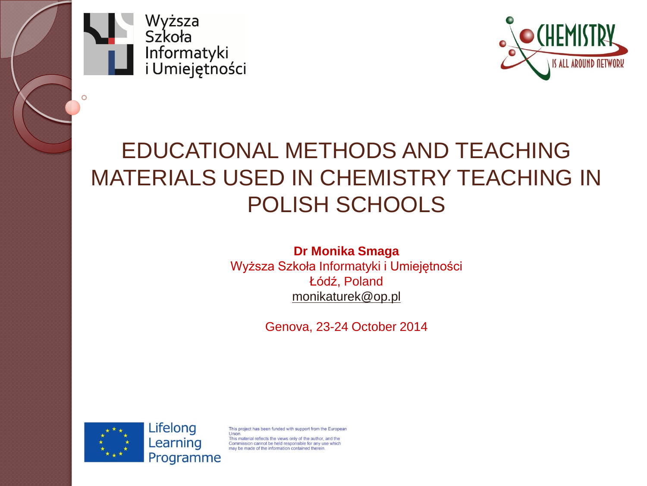

Ō



#### EDUCATIONAL METHODS AND TEACHING MATERIALS USED IN CHEMISTRY TEACHING IN POLISH SCHOOLS

#### **Dr Monika Smaga**

Wyższa Szkoła Informatyki i Umiejętności Łódź, Poland [monikaturek@op.pl](mailto:monikaturek@op.pl)

Genova, 23-24 October 2014

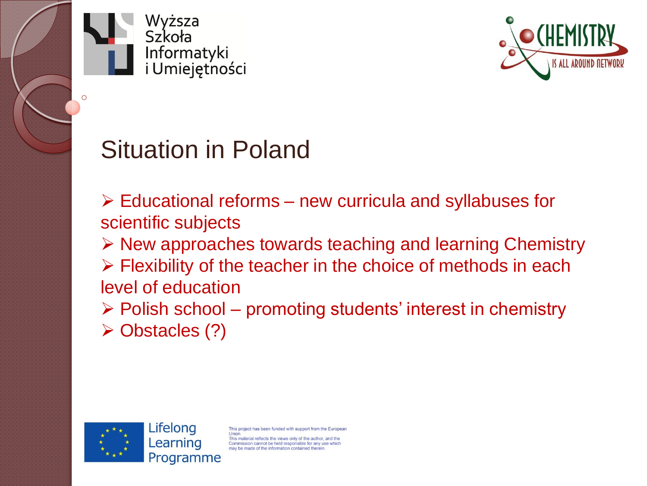



#### Situation in Poland

 $\triangleright$  Educational reforms – new curricula and syllabuses for scientific subjects

 $\triangleright$  New approaches towards teaching and learning Chemistry  $\triangleright$  Flexibility of the teacher in the choice of methods in each level of education

 $\triangleright$  Polish school – promoting students' interest in chemistry

Obstacles (?)

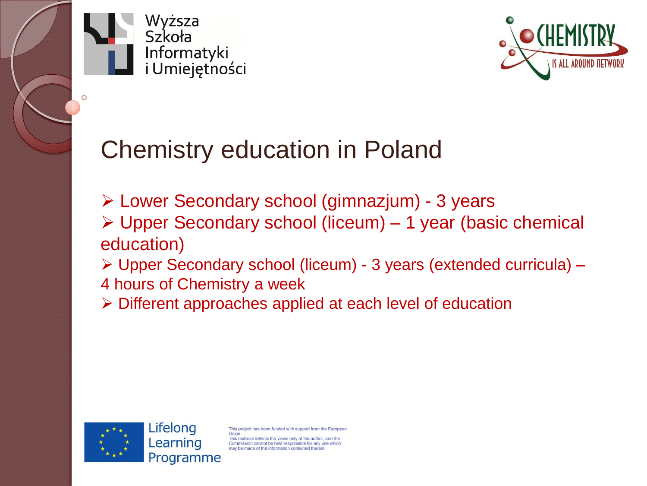



# Chemistry education in Poland

- Lower Secondary school (gimnazjum) 3 years Upper Secondary school (liceum) – 1 year (basic chemical education)
- Upper Secondary school (liceum) 3 years (extended curricula) –
- 4 hours of Chemistry a week
- Different approaches applied at each level of education

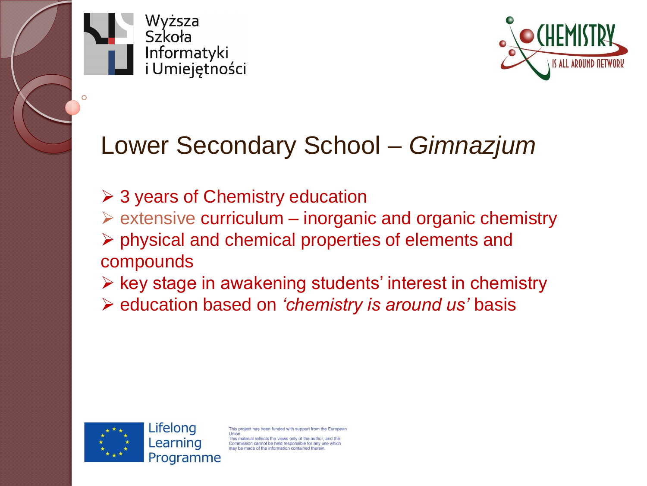



#### Lower Secondary School – *Gimnazjum*

- $\geq 3$  years of Chemistry education
- $\triangleright$  extensive curriculum inorganic and organic chemistry
- $\triangleright$  physical and chemical properties of elements and compounds
- $\triangleright$  key stage in awakening students' interest in chemistry
- education based on *'chemistry is around us'* basis

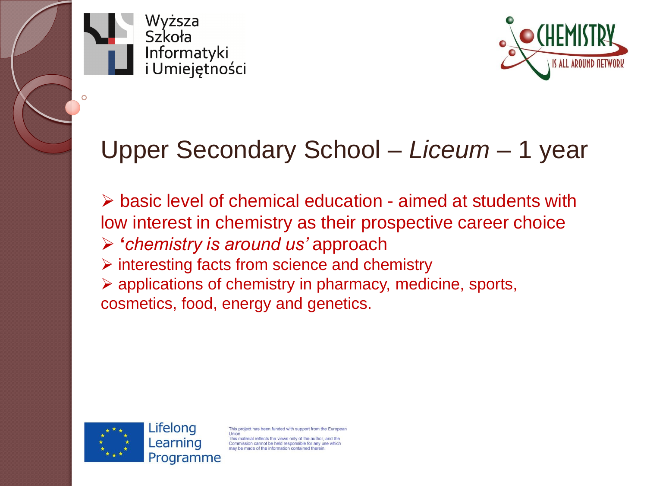



#### Upper Secondary School – *Liceum –* 1 year

 $\triangleright$  basic level of chemical education - aimed at students with low interest in chemistry as their prospective career choice **'***chemistry is around us'* approach  $\triangleright$  interesting facts from science and chemistry  $\triangleright$  applications of chemistry in pharmacy, medicine, sports, cosmetics, food, energy and genetics.

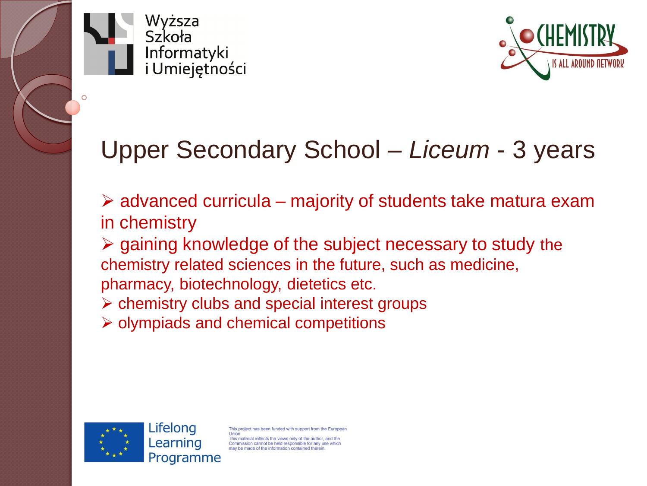



# Upper Secondary School – *Liceum* - 3 years

 $\triangleright$  advanced curricula – majority of students take matura exam in chemistry

 $\triangleright$  gaining knowledge of the subject necessary to study the chemistry related sciences in the future, such as medicine, pharmacy, biotechnology, dietetics etc.

 $\triangleright$  chemistry clubs and special interest groups

 $\triangleright$  olympiads and chemical competitions

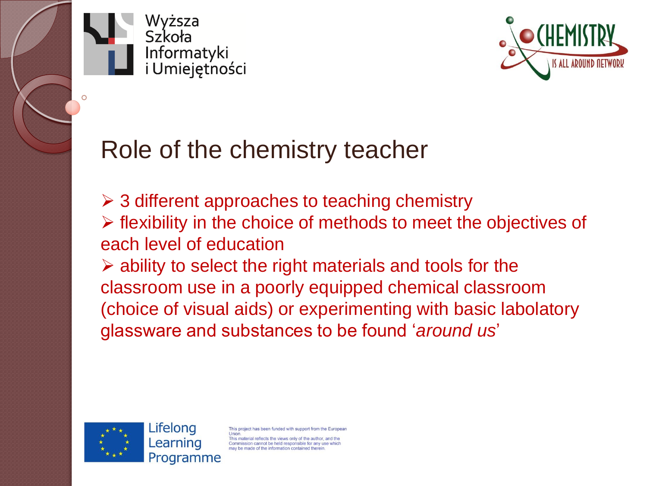



#### Role of the chemistry teacher

 $\geq$  3 different approaches to teaching chemistry  $\triangleright$  flexibility in the choice of methods to meet the objectives of

each level of education

 $\triangleright$  ability to select the right materials and tools for the classroom use in a poorly equipped chemical classroom (choice of visual aids) or experimenting with basic labolatory glassware and substances to be found '*around us*'

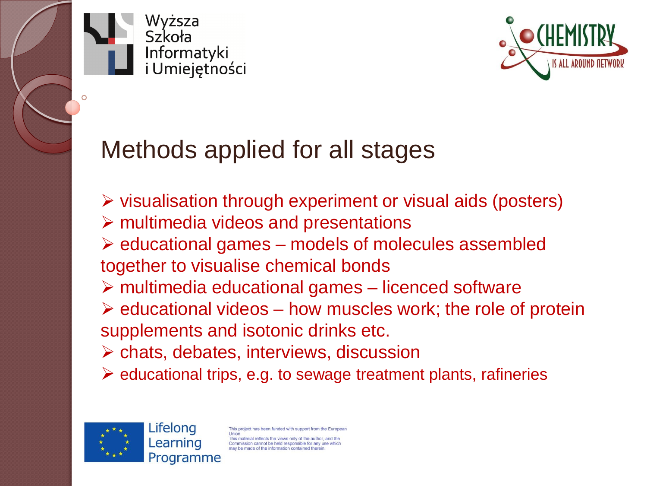



# Methods applied for all stages

 $\triangleright$  visualisation through experiment or visual aids (posters)  $\triangleright$  multimedia videos and presentations  $\triangleright$  educational games – models of molecules assembled together to visualise chemical bonds  $\triangleright$  multimedia educational games – licenced software  $\triangleright$  educational videos – how muscles work; the role of protein supplements and isotonic drinks etc.  $\triangleright$  chats, debates, interviews, discussion  $\triangleright$  educational trips, e.g. to sewage treatment plants, rafineries

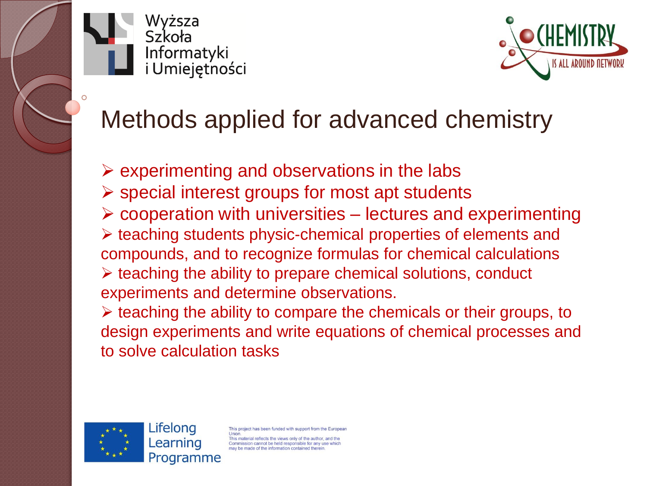



# Methods applied for advanced chemistry

 $\triangleright$  experimenting and observations in the labs  $\triangleright$  special interest groups for most apt students  $\triangleright$  cooperation with universities – lectures and experimenting  $\triangleright$  teaching students physic-chemical properties of elements and compounds, and to recognize formulas for chemical calculations  $\triangleright$  teaching the ability to prepare chemical solutions, conduct experiments and determine observations.

 $\triangleright$  teaching the ability to compare the chemicals or their groups, to design experiments and write equations of chemical processes and to solve calculation tasks

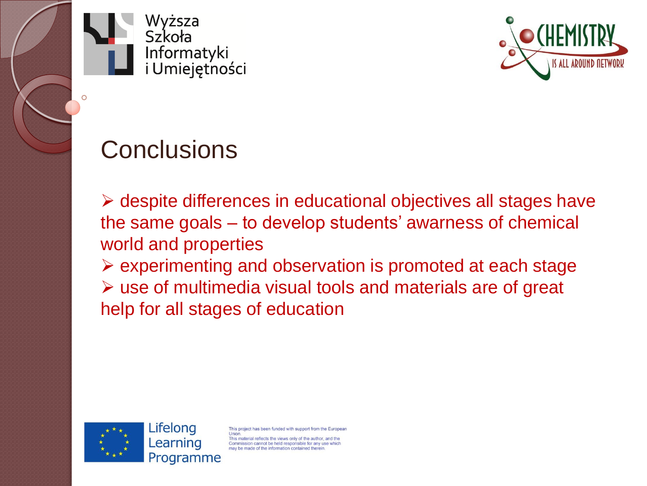



#### **Conclusions**

 $\triangleright$  despite differences in educational objectives all stages have the same goals – to develop students' awarness of chemical world and properties

 $\triangleright$  experimenting and observation is promoted at each stage use of multimedia visual tools and materials are of great help for all stages of education